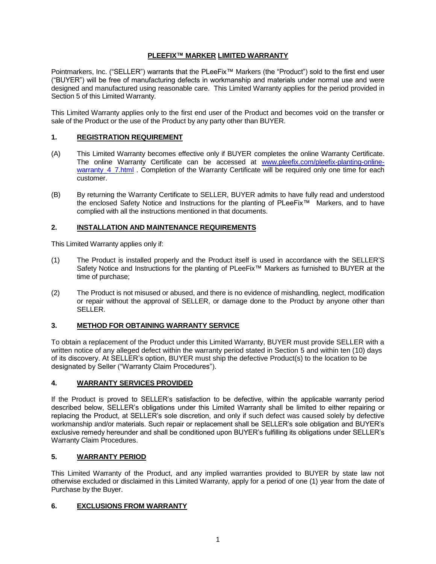## **PLEEFIX™ MARKER LIMITED WARRANTY**

Pointmarkers, Inc. ("SELLER") warrants that the PLeeFix™ Markers (the "Product") sold to the first end user ("BUYER") will be free of manufacturing defects in workmanship and materials under normal use and were designed and manufactured using reasonable care. This Limited Warranty applies for the period provided in Section 5 of this Limited Warranty.

This Limited Warranty applies only to the first end user of the Product and becomes void on the transfer or sale of the Product or the use of the Product by any party other than BUYER.

### **1. REGISTRATION REQUIREMENT**

- (A) This Limited Warranty becomes effective only if BUYER completes the online Warranty Certificate. The online Warranty Certificate can be accessed at [www.pleefix.com/pleefix-planting-online](http://www.pleefix.com/pleefix-planting-online-warranty_4_7.html)warranty 4 7.html . Completion of the Warranty Certificate will be required only one time for each customer.
- (B) By returning the Warranty Certificate to SELLER, BUYER admits to have fully read and understood the enclosed Safety Notice and Instructions for the planting of PLeeFix™ Markers, and to have complied with all the instructions mentioned in that documents.

### **2. INSTALLATION AND MAINTENANCE REQUIREMENTS**

This Limited Warranty applies only if:

- (1) The Product is installed properly and the Product itself is used in accordance with the SELLER'S Safety Notice and Instructions for the planting of PLeeFix™ Markers as furnished to BUYER at the time of purchase;
- (2) The Product is not misused or abused, and there is no evidence of mishandling, neglect, modification or repair without the approval of SELLER, or damage done to the Product by anyone other than SELLER.

### **3. METHOD FOR OBTAINING WARRANTY SERVICE**

To obtain a replacement of the Product under this Limited Warranty, BUYER must provide SELLER with a written notice of any alleged defect within the warranty period stated in Section 5 and within ten (10) days of its discovery. At SELLER's option, BUYER must ship the defective Product(s) to the location to be designated by Seller ("Warranty Claim Procedures").

### **4. WARRANTY SERVICES PROVIDED**

If the Product is proved to SELLER's satisfaction to be defective, within the applicable warranty period described below, SELLER's obligations under this Limited Warranty shall be limited to either repairing or replacing the Product, at SELLER's sole discretion, and only if such defect was caused solely by defective workmanship and/or materials. Such repair or replacement shall be SELLER's sole obligation and BUYER's exclusive remedy hereunder and shall be conditioned upon BUYER's fulfilling its obligations under SELLER's Warranty Claim Procedures.

### **5. WARRANTY PERIOD**

This Limited Warranty of the Product, and any implied warranties provided to BUYER by state law not otherwise excluded or disclaimed in this Limited Warranty, apply for a period of one (1) year from the date of Purchase by the Buyer.

### **6. EXCLUSIONS FROM WARRANTY**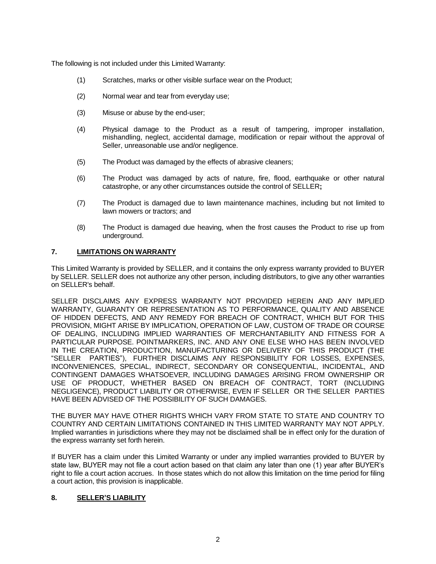The following is not included under this Limited Warranty:

- (1) Scratches, marks or other visible surface wear on the Product;
- (2) Normal wear and tear from everyday use;
- (3) Misuse or abuse by the end-user;
- (4) Physical damage to the Product as a result of tampering, improper installation, mishandling, neglect, accidental damage, modification or repair without the approval of Seller, unreasonable use and/or negligence.
- (5) The Product was damaged by the effects of abrasive cleaners;
- (6) The Product was damaged by acts of nature, fire, flood, earthquake or other natural catastrophe, or any other circumstances outside the control of SELLER**;**
- (7) The Product is damaged due to lawn maintenance machines, including but not limited to lawn mowers or tractors; and
- (8) The Product is damaged due heaving, when the frost causes the Product to rise up from underground.

#### **7. LIMITATIONS ON WARRANTY**

This Limited Warranty is provided by SELLER, and it contains the only express warranty provided to BUYER by SELLER. SELLER does not authorize any other person, including distributors, to give any other warranties on SELLER's behalf.

SELLER DISCLAIMS ANY EXPRESS WARRANTY NOT PROVIDED HEREIN AND ANY IMPLIED WARRANTY, GUARANTY OR REPRESENTATION AS TO PERFORMANCE, QUALITY AND ABSENCE OF HIDDEN DEFECTS, AND ANY REMEDY FOR BREACH OF CONTRACT, WHICH BUT FOR THIS PROVISION, MIGHT ARISE BY IMPLICATION, OPERATION OF LAW, CUSTOM OF TRADE OR COURSE OF DEALING, INCLUDING IMPLIED WARRANTIES OF MERCHANTABILITY AND FITNESS FOR A PARTICULAR PURPOSE. POINTMARKERS, INC. AND ANY ONE ELSE WHO HAS BEEN INVOLVED IN THE CREATION, PRODUCTION, MANUFACTURING OR DELIVERY OF THIS PRODUCT (THE "SELLER PARTIES"), FURTHER DISCLAIMS ANY RESPONSIBILITY FOR LOSSES, EXPENSES, INCONVENIENCES, SPECIAL, INDIRECT, SECONDARY OR CONSEQUENTIAL, INCIDENTAL, AND CONTINGENT DAMAGES WHATSOEVER, INCLUDING DAMAGES ARISING FROM OWNERSHIP OR USE OF PRODUCT, WHETHER BASED ON BREACH OF CONTRACT, TORT (INCLUDING NEGLIGENCE), PRODUCT LIABILITY OR OTHERWISE, EVEN IF SELLER OR THE SELLER PARTIES HAVE BEEN ADVISED OF THE POSSIBILITY OF SUCH DAMAGES.

THE BUYER MAY HAVE OTHER RIGHTS WHICH VARY FROM STATE TO STATE AND COUNTRY TO COUNTRY AND CERTAIN LIMITATIONS CONTAINED IN THIS LIMITED WARRANTY MAY NOT APPLY. Implied warranties in jurisdictions where they may not be disclaimed shall be in effect only for the duration of the express warranty set forth herein.

If BUYER has a claim under this Limited Warranty or under any implied warranties provided to BUYER by state law, BUYER may not file a court action based on that claim any later than one (1) year after BUYER's right to file a court action accrues. In those states which do not allow this limitation on the time period for filing a court action, this provision is inapplicable.

### **8. SELLER'S LIABILITY**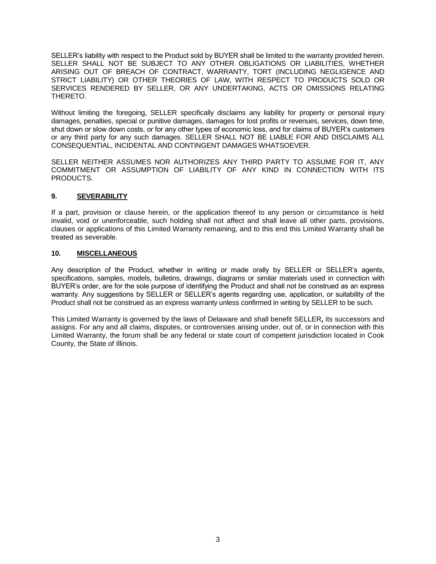SELLER's liability with respect to the Product sold by BUYER shall be limited to the warranty provided herein. SELLER SHALL NOT BE SUBJECT TO ANY OTHER OBLIGATIONS OR LIABILITIES, WHETHER ARISING OUT OF BREACH OF CONTRACT, WARRANTY, TORT (INCLUDING NEGLIGENCE AND STRICT LIABILITY) OR OTHER THEORIES OF LAW, WITH RESPECT TO PRODUCTS SOLD OR SERVICES RENDERED BY SELLER, OR ANY UNDERTAKING, ACTS OR OMISSIONS RELATING THERETO.

Without limiting the foregoing, SELLER specifically disclaims any liability for property or personal injury damages, penalties, special or punitive damages, damages for lost profits or revenues, services, down time, shut down or slow down costs, or for any other types of economic loss, and for claims of BUYER's customers or any third party for any such damages. SELLER SHALL NOT BE LIABLE FOR AND DISCLAIMS ALL CONSEQUENTIAL, INCIDENTAL AND CONTINGENT DAMAGES WHATSOEVER.

SELLER NEITHER ASSUMES NOR AUTHORIZES ANY THIRD PARTY TO ASSUME FOR IT, ANY COMMITMENT OR ASSUMPTION OF LIABILITY OF ANY KIND IN CONNECTION WITH ITS PRODUCTS.

### **9. SEVERABILITY**

If a part, provision or clause herein, or the application thereof to any person or circumstance is held invalid, void or unenforceable, such holding shall not affect and shall leave all other parts, provisions, clauses or applications of this Limited Warranty remaining, and to this end this Limited Warranty shall be treated as severable.

#### **10. MISCELLANEOUS**

Any description of the Product, whether in writing or made orally by SELLER or SELLER's agents, specifications, samples, models, bulletins, drawings, diagrams or similar materials used in connection with BUYER's order, are for the sole purpose of identifying the Product and shall not be construed as an express warranty. Any suggestions by SELLER or SELLER's agents regarding use, application, or suitability of the Product shall not be construed as an express warranty unless confirmed in writing by SELLER to be such.

This Limited Warranty is governed by the laws of Delaware and shall benefit SELLER**,** its successors and assigns. For any and all claims, disputes, or controversies arising under, out of, or in connection with this Limited Warranty, the forum shall be any federal or state court of competent jurisdiction located in Cook County, the State of Illinois.